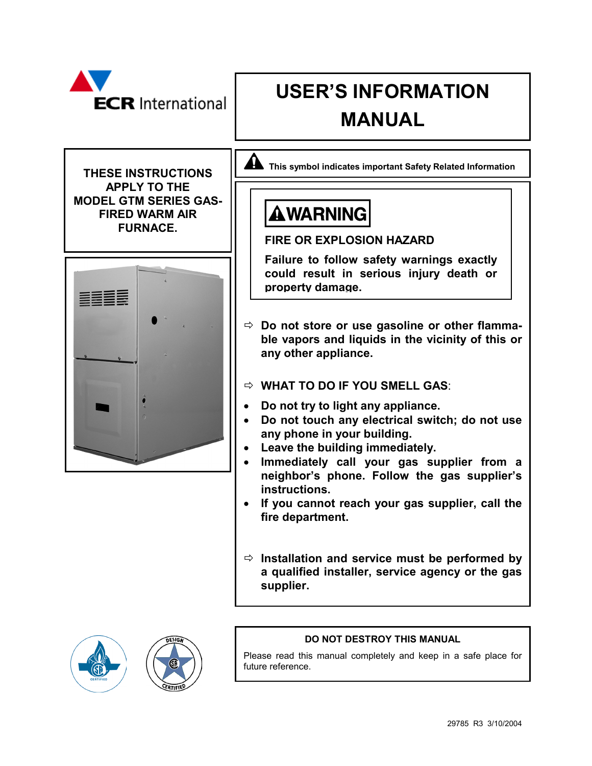| <b>ECR</b> International                                                                                                     | <b>USER'S INFORMATION</b><br><b>MANUAL</b>                                                                                                                                                                                                                                                                                                                                                                                                                                                                                                                                                                                                                                                                                                                          |
|------------------------------------------------------------------------------------------------------------------------------|---------------------------------------------------------------------------------------------------------------------------------------------------------------------------------------------------------------------------------------------------------------------------------------------------------------------------------------------------------------------------------------------------------------------------------------------------------------------------------------------------------------------------------------------------------------------------------------------------------------------------------------------------------------------------------------------------------------------------------------------------------------------|
| <b>THESE INSTRUCTIONS</b><br><b>APPLY TO THE</b><br><b>MODEL GTM SERIES GAS-</b><br><b>FIRED WARM AIR</b><br><b>FURNACE.</b> | This symbol indicates important Safety Related Information<br><b>AWARNING</b><br><b>FIRE OR EXPLOSION HAZARD</b>                                                                                                                                                                                                                                                                                                                                                                                                                                                                                                                                                                                                                                                    |
|                                                                                                                              | Failure to follow safety warnings exactly<br>could result in serious injury death or<br>property damage.<br>$\Rightarrow$ Do not store or use gasoline or other flamma-<br>ble vapors and liquids in the vicinity of this or<br>any other appliance.<br>$\Rightarrow$ WHAT TO DO IF YOU SMELL GAS:<br>Do not try to light any appliance.<br>Do not touch any electrical switch; do not use<br>any phone in your building.<br>Leave the building immediately.<br>Immediately call your gas supplier from a<br>neighbor's phone. Follow the gas supplier's<br>instructions.<br>If you cannot reach your gas supplier, call the<br>fire department.<br>$\Rightarrow$ Installation and service must be performed by<br>a qualified installer, service agency or the gas |





## **DO NOT DESTROY THIS MANUAL**

Please read this manual completely and keep in a safe place for future reference.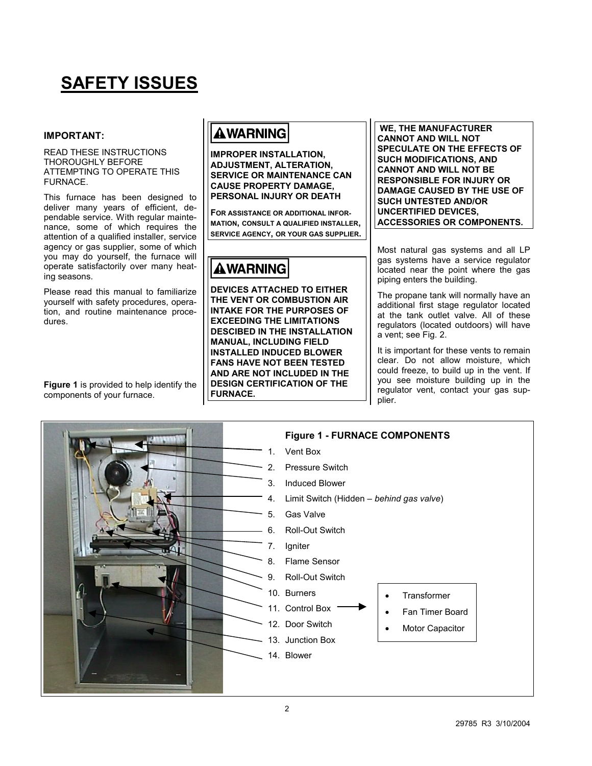# **SAFETY ISSUES**

### **IMPORTANT:**

#### READ THESE INSTRUCTIONS THOROUGHLY BEFORE ATTEMPTING TO OPERATE THIS FURNACE.

This furnace has been designed to deliver many years of efficient, dependable service. With regular maintenance, some of which requires the attention of a qualified installer, service agency or gas supplier, some of which you may do yourself, the furnace will operate satisfactorily over many heating seasons.

Please read this manual to familiarize yourself with safety procedures, operation, and routine maintenance procedures.

**Figure 1** is provided to help identify the components of your furnace.

# **AWARNING**

**IMPROPER INSTALLATION, ADJUSTMENT, ALTERATION, SERVICE OR MAINTENANCE CAN CAUSE PROPERTY DAMAGE, PERSONAL INJURY OR DEATH** 

**FOR ASSISTANCE OR ADDITIONAL INFOR-MATION, CONSULT A QUALIFIED INSTALLER, SERVICE AGENCY, OR YOUR GAS SUPPLIER.** 

# **AWARNING**

**DEVICES ATTACHED TO EITHER THE VENT OR COMBUSTION AIR INTAKE FOR THE PURPOSES OF EXCEEDING THE LIMITATIONS DESCIBED IN THE INSTALLATION MANUAL, INCLUDING FIELD INSTALLED INDUCED BLOWER FANS HAVE NOT BEEN TESTED AND ARE NOT INCLUDED IN THE DESIGN CERTIFICATION OF THE FURNACE.** 

 **WE, THE MANUFACTURER CANNOT AND WILL NOT SPECULATE ON THE EFFECTS OF SUCH MODIFICATIONS, AND CANNOT AND WILL NOT BE RESPONSIBLE FOR INJURY OR DAMAGE CAUSED BY THE USE OF SUCH UNTESTED AND/OR UNCERTIFIED DEVICES, ACCESSORIES OR COMPONENTS.** 

Most natural gas systems and all LP gas systems have a service regulator located near the point where the gas piping enters the building.

The propane tank will normally have an additional first stage regulator located at the tank outlet valve. All of these regulators (located outdoors) will have a vent; see Fig. 2.

It is important for these vents to remain clear. Do not allow moisture, which could freeze, to build up in the vent. If you see moisture building up in the regulator vent, contact your gas supplier.

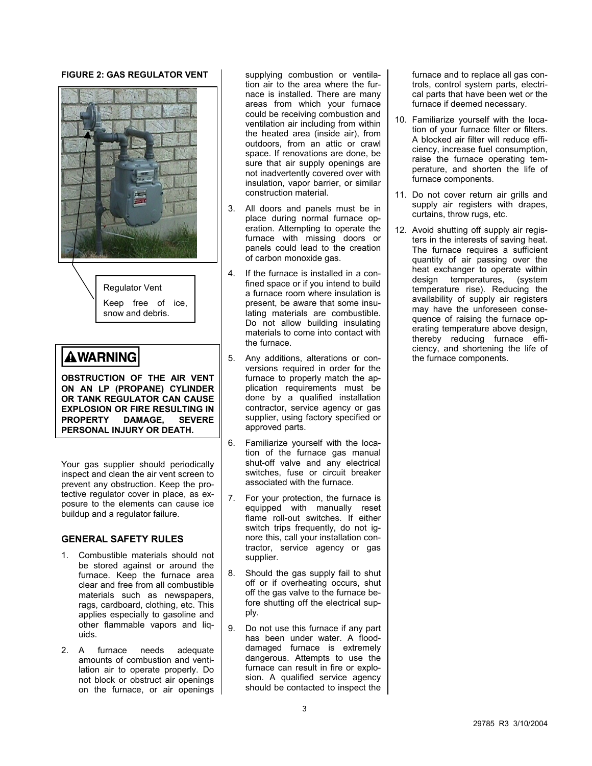### **FIGURE 2: GAS REGULATOR VENT**



Regulator Vent Keep free of ice, snow and debris.

## **AWARNING**

**OBSTRUCTION OF THE AIR VENT ON AN LP (PROPANE) CYLINDER OR TANK REGULATOR CAN CAUSE EXPLOSION OR FIRE RESULTING IN PROPERTY DAMAGE. PERSONAL INJURY OR DEATH.** 

Your gas supplier should periodically inspect and clean the air vent screen to prevent any obstruction. Keep the protective regulator cover in place, as exposure to the elements can cause ice buildup and a regulator failure.

### **GENERAL SAFETY RULES**

- 1. Combustible materials should not be stored against or around the furnace. Keep the furnace area clear and free from all combustible materials such as newspapers, rags, cardboard, clothing, etc. This applies especially to gasoline and other flammable vapors and liquids.
- 2. A furnace needs adequate amounts of combustion and ventilation air to operate properly. Do not block or obstruct air openings on the furnace, or air openings

supplying combustion or ventilation air to the area where the furnace is installed. There are many areas from which your furnace could be receiving combustion and ventilation air including from within the heated area (inside air), from outdoors, from an attic or crawl space. If renovations are done, be sure that air supply openings are not inadvertently covered over with insulation, vapor barrier, or similar construction material.

- 3. All doors and panels must be in place during normal furnace operation. Attempting to operate the furnace with missing doors or panels could lead to the creation of carbon monoxide gas.
- 4. If the furnace is installed in a confined space or if you intend to build a furnace room where insulation is present, be aware that some insulating materials are combustible. Do not allow building insulating materials to come into contact with the furnace.
- 5. Any additions, alterations or conversions required in order for the furnace to properly match the application requirements must be done by a qualified installation contractor, service agency or gas supplier, using factory specified or approved parts.
- 6. Familiarize yourself with the location of the furnace gas manual shut-off valve and any electrical switches, fuse or circuit breaker associated with the furnace.
- 7. For your protection, the furnace is equipped with manually reset flame roll-out switches. If either switch trips frequently, do not ignore this, call your installation contractor, service agency or gas supplier.
- 8. Should the gas supply fail to shut off or if overheating occurs, shut off the gas valve to the furnace before shutting off the electrical supply.
- 9. Do not use this furnace if any part has been under water. A flooddamaged furnace is extremely dangerous. Attempts to use the furnace can result in fire or explosion. A qualified service agency should be contacted to inspect the

furnace and to replace all gas controls, control system parts, electrical parts that have been wet or the furnace if deemed necessary.

- 10. Familiarize yourself with the location of your furnace filter or filters. A blocked air filter will reduce efficiency, increase fuel consumption, raise the furnace operating temperature, and shorten the life of furnace components.
- 11. Do not cover return air grills and supply air registers with drapes, curtains, throw rugs, etc.
- 12. Avoid shutting off supply air registers in the interests of saving heat. The furnace requires a sufficient quantity of air passing over the heat exchanger to operate within design temperatures, (system temperature rise). Reducing the availability of supply air registers may have the unforeseen consequence of raising the furnace operating temperature above design, thereby reducing furnace efficiency, and shortening the life of the furnace components.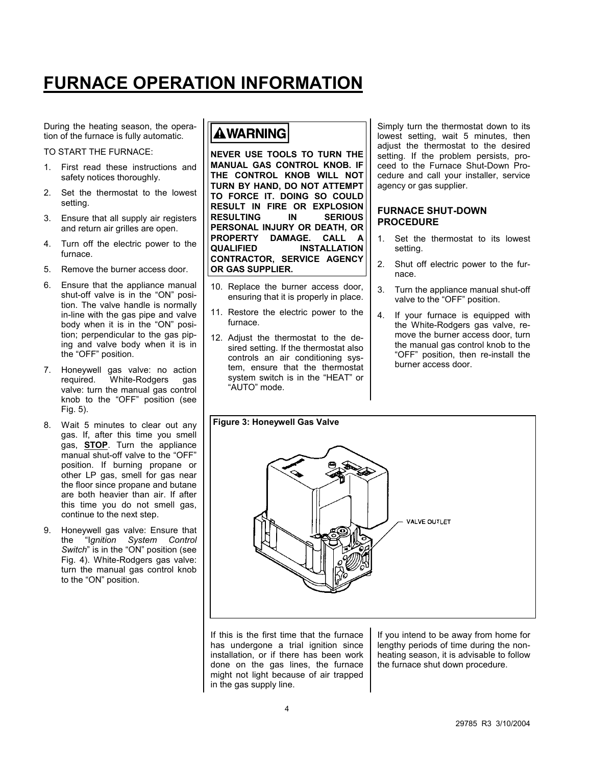# **FURNACE OPERATION INFORMATION**

During the heating season, the operation of the furnace is fully automatic.

TO START THE FURNACE:

- 1. First read these instructions and safety notices thoroughly.
- 2. Set the thermostat to the lowest setting.
- 3. Ensure that all supply air registers and return air grilles are open.
- 4. Turn off the electric power to the furnace.
- 5. Remove the burner access door.
- 6. Ensure that the appliance manual shut-off valve is in the "ON" position. The valve handle is normally in-line with the gas pipe and valve body when it is in the "ON" position; perpendicular to the gas piping and valve body when it is in the "OFF" position.
- 7. Honeywell gas valve: no action required. White-Rodgers gas valve: turn the manual gas control knob to the "OFF" position (see Fig. 5).
- 8. Wait 5 minutes to clear out any gas. If, after this time you smell gas, **STOP**. Turn the appliance manual shut-off valve to the "OFF" position. If burning propane or other LP gas, smell for gas near the floor since propane and butane are both heavier than air. If after this time you do not smell gas, continue to the next step.
- 9. Honeywell gas valve: Ensure that the "I*gnition System Control Switch*" is in the "ON" position (see Fig. 4). White-Rodgers gas valve: turn the manual gas control knob to the "ON" position.

# **AWARNING**

**NEVER USE TOOLS TO TURN THE MANUAL GAS CONTROL KNOB. IF THE CONTROL KNOB WILL NOT TURN BY HAND, DO NOT ATTEMPT TO FORCE IT. DOING SO COULD RESULT IN FIRE OR EXPLOSION RESULTING IN SERIOUS PERSONAL INJURY OR DEATH, OR PROPERTY DAMAGE. CALL A QUALIFIED INSTALLATION CONTRACTOR, SERVICE AGENCY OR GAS SUPPLIER.** 

- 10. Replace the burner access door, ensuring that it is properly in place.
- 11. Restore the electric power to the furnace.
- 12. Adjust the thermostat to the desired setting. If the thermostat also controls an air conditioning system, ensure that the thermostat system switch is in the "HEAT" or "AUTO" mode.

Simply turn the thermostat down to its lowest setting, wait 5 minutes, then adjust the thermostat to the desired setting. If the problem persists, proceed to the Furnace Shut-Down Procedure and call your installer, service agency or gas supplier.

### **FURNACE SHUT-DOWN PROCEDURE**

- 1. Set the thermostat to its lowest setting.
- 2. Shut off electric power to the furnace.
- 3. Turn the appliance manual shut-off valve to the "OFF" position.
- 4. If your furnace is equipped with the White-Rodgers gas valve, remove the burner access door, turn the manual gas control knob to the "OFF" position, then re-install the burner access door.



If this is the first time that the furnace has undergone a trial ignition since installation, or if there has been work done on the gas lines, the furnace might not light because of air trapped in the gas supply line.

If you intend to be away from home for lengthy periods of time during the nonheating season, it is advisable to follow the furnace shut down procedure.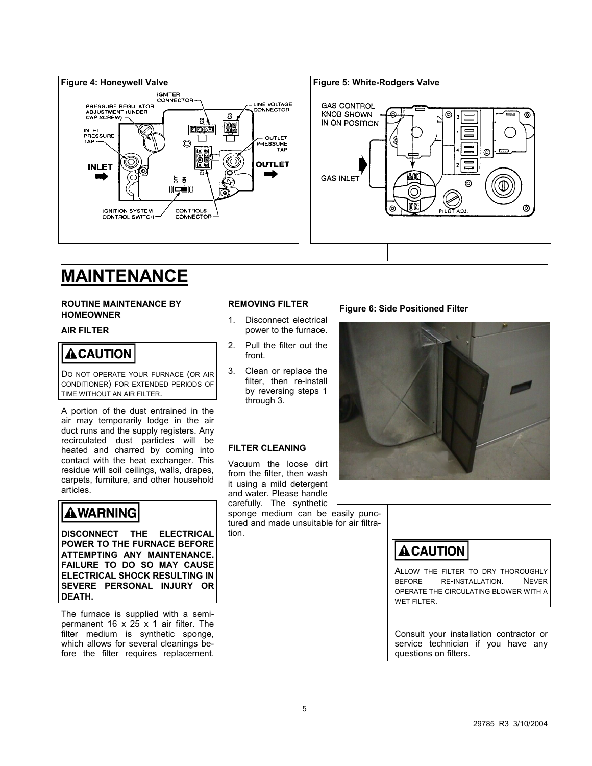

# **MAINTENANCE**

#### **ROUTINE MAINTENANCE BY HOMEOWNER**

### **AIR FILTER**

## **A CAUTION**

DO NOT OPERATE YOUR FURNACE (OR AIR CONDITIONER) FOR EXTENDED PERIODS OF TIME WITHOUT AN AIR FILTER.

A portion of the dust entrained in the air may temporarily lodge in the air duct runs and the supply registers. Any recirculated dust particles will be heated and charred by coming into contact with the heat exchanger. This residue will soil ceilings, walls, drapes, carpets, furniture, and other household articles.

# **AWARNING**

**DISCONNECT THE ELECTRICAL POWER TO THE FURNACE BEFORE ATTEMPTING ANY MAINTENANCE. FAILURE TO DO SO MAY CAUSE ELECTRICAL SHOCK RESULTING IN SEVERE PERSONAL INJURY OR DEATH.** 

The furnace is supplied with a semipermanent 16  $\times$  25  $\times$  1 air filter. The filter medium is synthetic sponge, which allows for several cleanings before the filter requires replacement.

### **REMOVING FILTER**

- 1. Disconnect electrical power to the furnace.
- 2. Pull the filter out the front.
- 3. Clean or replace the filter, then re-install by reversing steps 1 through 3.

## **FILTER CLEANING**

Vacuum the loose dirt from the filter, then wash it using a mild detergent and water. Please handle carefully. The synthetic

sponge medium can be easily punctured and made unsuitable for air filtration.

## **Figure 6: Side Positioned Filter**



# **ACAUTION**

ALLOW THE FILTER TO DRY THOROUGHLY BEFORE RE-INSTALLATION. NEVER OPERATE THE CIRCULATING BLOWER WITH A WET FILTER.

Consult your installation contractor or service technician if you have any questions on filters.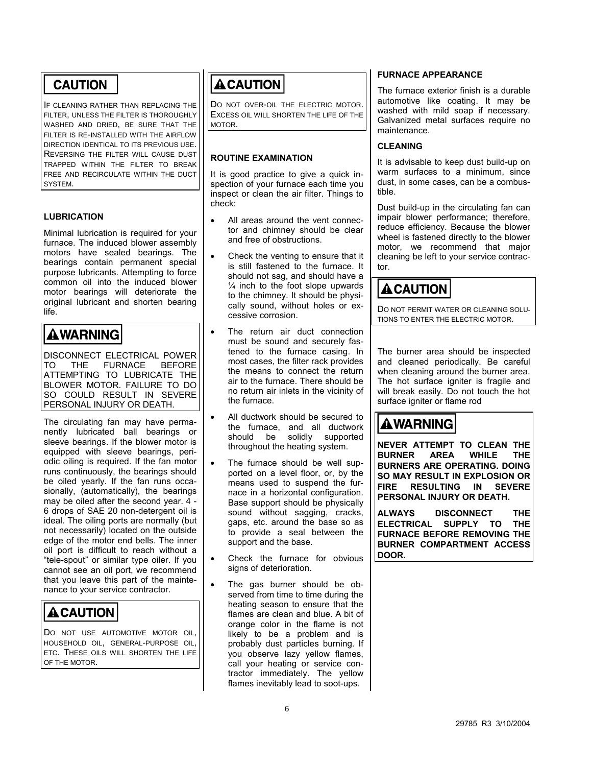## **CAUTION**

IF CLEANING RATHER THAN REPLACING THE FILTER, UNLESS THE FILTER IS THOROUGHLY WASHED AND DRIED, BE SURE THAT THE FILTER IS RE-INSTALLED WITH THE AIRFLOW DIRECTION IDENTICAL TO ITS PREVIOUS USE. REVERSING THE FILTER WILL CAUSE DUST TRAPPED WITHIN THE FILTER TO BREAK FREE AND RECIRCULATE WITHIN THE DUCT SYSTEM.

## **LUBRICATION**

Minimal lubrication is required for your furnace. The induced blower assembly motors have sealed bearings. The bearings contain permanent special purpose lubricants. Attempting to force common oil into the induced blower motor bearings will deteriorate the original lubricant and shorten bearing life.

# **AWARNING**

DISCONNECT ELECTRICAL POWER TO THE FURNACE BEFORE ATTEMPTING TO LUBRICATE THE BLOWER MOTOR. FAILURE TO DO SO COULD RESULT IN SEVERE PERSONAL INJURY OR DEATH.

The circulating fan may have permanently lubricated ball bearings or sleeve bearings. If the blower motor is equipped with sleeve bearings, periodic oiling is required. If the fan motor runs continuously, the bearings should be oiled yearly. If the fan runs occasionally, (automatically), the bearings may be oiled after the second year. 4 - 6 drops of SAE 20 non-detergent oil is ideal. The oiling ports are normally (but not necessarily) located on the outside edge of the motor end bells. The inner oil port is difficult to reach without a "tele-spout" or similar type oiler. If you cannot see an oil port, we recommend that you leave this part of the maintenance to your service contractor.

# **A CAUTION**

DO NOT USE AUTOMOTIVE MOTOR OIL, HOUSEHOLD OIL, GENERAL-PURPOSE OIL, ETC. THESE OILS WILL SHORTEN THE LIFE OF THE MOTOR.

# **ACAUTION**

DO NOT OVER-OIL THE ELECTRIC MOTOR. EXCESS OIL WILL SHORTEN THE LIFE OF THE MOTOR.

## **ROUTINE EXAMINATION**

It is good practice to give a quick inspection of your furnace each time you inspect or clean the air filter. Things to check:

- - All areas around the vent connector and chimney should be clear and free of obstructions.
- - Check the venting to ensure that it is still fastened to the furnace. It should not sag, and should have a  $\frac{1}{4}$  inch to the foot slope upwards to the chimney. It should be physically sound, without holes or excessive corrosion.
- $\bullet$  The return air duct connection must be sound and securely fastened to the furnace casing. In most cases, the filter rack provides the means to connect the return air to the furnace. There should be no return air inlets in the vicinity of the furnace.
- - All ductwork should be secured to the furnace, and all ductwork should be solidly supported throughout the heating system.
- - The furnace should be well supported on a level floor, or, by the means used to suspend the furnace in a horizontal configuration. Base support should be physically sound without sagging, cracks, gaps, etc. around the base so as to provide a seal between the support and the base.
- - Check the furnace for obvious signs of deterioration.
- - The gas burner should be observed from time to time during the heating season to ensure that the flames are clean and blue. A bit of orange color in the flame is not likely to be a problem and is probably dust particles burning. If you observe lazy yellow flames, call your heating or service contractor immediately. The yellow flames inevitably lead to soot-ups.

## **FURNACE APPEARANCE**

The furnace exterior finish is a durable automotive like coating. It may be washed with mild soap if necessary. Galvanized metal surfaces require no maintenance.

### **CLEANING**

It is advisable to keep dust build-up on warm surfaces to a minimum, since dust, in some cases, can be a combustible.

Dust build-up in the circulating fan can impair blower performance; therefore, reduce efficiency. Because the blower wheel is fastened directly to the blower motor, we recommend that major cleaning be left to your service contractor.

## **ACAUTION**

DO NOT PERMIT WATER OR CLEANING SOLU-TIONS TO ENTER THE ELECTRIC MOTOR.

The burner area should be inspected and cleaned periodically. Be careful when cleaning around the burner area. The hot surface igniter is fragile and will break easily. Do not touch the hot surface igniter or flame rod

# **AWARNING**

**NEVER ATTEMPT TO CLEAN THE BURNER AREA WHILE THE BURNERS ARE OPERATING. DOING SO MAY RESULT IN EXPLOSION OR FIRE RESULTING IN SEVERE PERSONAL INJURY OR DEATH.** 

**ALWAYS DISCONNECT THE ELECTRICAL SUPPLY TO THE FURNACE BEFORE REMOVING THE BURNER COMPARTMENT ACCESS DOOR.**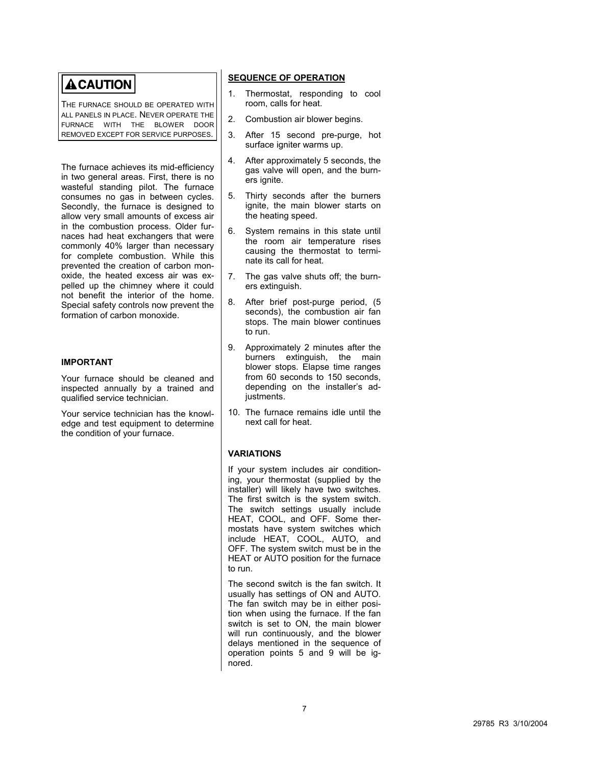# **ACAUTION**

THE FURNACE SHOULD BE OPERATED WITH ALL PANELS IN PLACE. NEVER OPERATE THE FURNACE WITH THE BLOWER DOOR REMOVED EXCEPT FOR SERVICE PURPOSES.

The furnace achieves its mid-efficiency in two general areas. First, there is no wasteful standing pilot. The furnace consumes no gas in between cycles. Secondly, the furnace is designed to allow very small amounts of excess air in the combustion process. Older furnaces had heat exchangers that were commonly 40% larger than necessary for complete combustion. While this prevented the creation of carbon monoxide, the heated excess air was expelled up the chimney where it could not benefit the interior of the home. Special safety controls now prevent the formation of carbon monoxide.

### **IMPORTANT**

Your furnace should be cleaned and inspected annually by a trained and qualified service technician.

Your service technician has the knowledge and test equipment to determine the condition of your furnace.

### **SEQUENCE OF OPERATION**

- 1. Thermostat, responding to cool room, calls for heat.
- 2. Combustion air blower begins.
- 3. After 15 second pre-purge, hot surface igniter warms up.
- 4. After approximately 5 seconds, the gas valve will open, and the burners ignite.
- 5. Thirty seconds after the burners ignite, the main blower starts on the heating speed.
- 6. System remains in this state until the room air temperature rises causing the thermostat to terminate its call for heat.
- 7. The gas valve shuts off; the burners extinguish.
- 8. After brief post-purge period, (5 seconds), the combustion air fan stops. The main blower continues to run.
- 9. Approximately 2 minutes after the burners extinguish, the main blower stops. Elapse time ranges from 60 seconds to 150 seconds, depending on the installer's adjustments.
- 10. The furnace remains idle until the next call for heat.

### **VARIATIONS**

If your system includes air conditioning, your thermostat (supplied by the installer) will likely have two switches. The first switch is the system switch. The switch settings usually include HEAT, COOL, and OFF. Some thermostats have system switches which include HEAT, COOL, AUTO, and OFF. The system switch must be in the HEAT or AUTO position for the furnace to run.

The second switch is the fan switch. It usually has settings of ON and AUTO. The fan switch may be in either position when using the furnace. If the fan switch is set to ON, the main blower will run continuously, and the blower delays mentioned in the sequence of operation points 5 and 9 will be ignored.